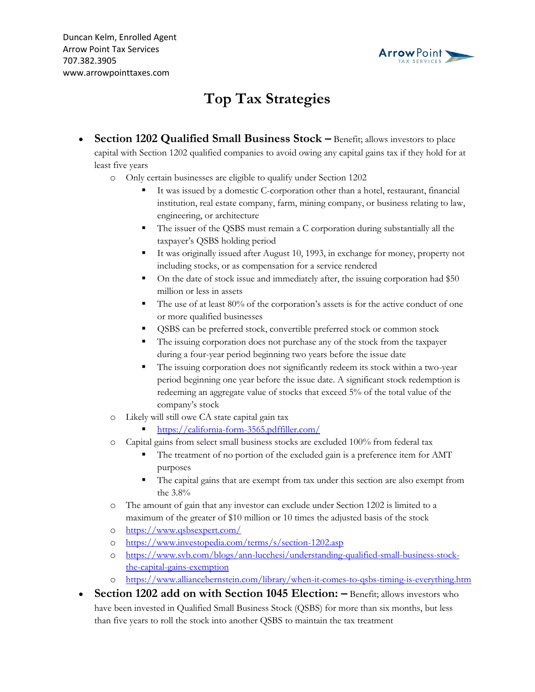

## **Top Tax Strategies**

- **Section 1202 Qualified Small Business Stock –** Benefit; allows investors to place capital with Section 1202 qualified companies to avoid owing any capital gains tax if they hold for at least five years
	- o Only certain businesses are eligible to qualify under Section 1202
		- It was issued by a domestic C-corporation other than a hotel, restaurant, financial institution, real estate company, farm, mining company, or business relating to law, engineering, or architecture
		- **•** The issuer of the QSBS must remain a C corporation during substantially all the taxpayer's QSBS holding period
		- It was originally issued after August 10, 1993, in exchange for money, property not including stocks, or as compensation for a service rendered
		- On the date of stock issue and immediately after, the issuing corporation had \$50 million or less in assets
		- The use of at least 80% of the corporation's assets is for the active conduct of one or more qualified businesses
		- QSBS can be preferred stock, convertible preferred stock or common stock
		- The issuing corporation does not purchase any of the stock from the taxpayer during a four-year period beginning two years before the issue date
		- The issuing corporation does not significantly redeem its stock within a two-year period beginning one year before the issue date. A significant stock redemption is redeeming an aggregate value of stocks that exceed 5% of the total value of the company's stock
	- o Likely will still owe CA state capital gain tax
		- <https://california-form-3565.pdffiller.com/>
	- o Capital gains from select small business stocks are excluded 100% from federal tax
		- The treatment of no portion of the excluded gain is a preference item for AMT purposes
		- The capital gains that are exempt from tax under this section are also exempt from the 3.8%
	- o The amount of gain that any investor can exclude under Section 1202 is limited to a maximum of the greater of \$10 million or 10 times the adjusted basis of the stock
	- o <https://www.qsbsexpert.com/>
	- o <https://www.investopedia.com/terms/s/section-1202.asp>
	- o [https://www.svb.com/blogs/ann-lucchesi/understanding-qualified-small-business-stock](https://www.svb.com/blogs/ann-lucchesi/understanding-qualified-small-business-stock-the-capital-gains-exemption)[the-capital-gains-exemption](https://www.svb.com/blogs/ann-lucchesi/understanding-qualified-small-business-stock-the-capital-gains-exemption)
	- o <https://www.alliancebernstein.com/library/when-it-comes-to-qsbs-timing-is-everything.htm>
- **Section 1202 add on with Section 1045 Election:**  $-$  **Benefit; allows investors who** have been invested in Qualified Small Business Stock (QSBS) for more than six months, but less than five years to roll the stock into another QSBS to maintain the tax treatment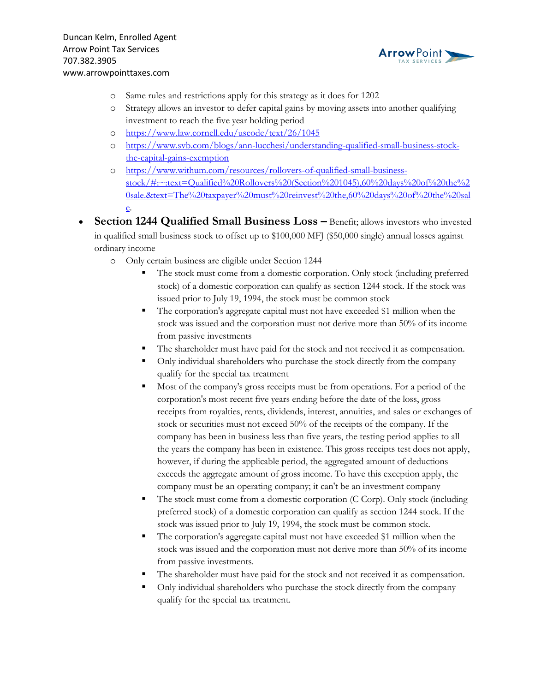

- o Same rules and restrictions apply for this strategy as it does for 1202
- o Strategy allows an investor to defer capital gains by moving assets into another qualifying investment to reach the five year holding period
- o <https://www.law.cornell.edu/uscode/text/26/1045>
- o [https://www.svb.com/blogs/ann-lucchesi/understanding-qualified-small-business-stock](https://www.svb.com/blogs/ann-lucchesi/understanding-qualified-small-business-stock-the-capital-gains-exemption)[the-capital-gains-exemption](https://www.svb.com/blogs/ann-lucchesi/understanding-qualified-small-business-stock-the-capital-gains-exemption)
- o [https://www.withum.com/resources/rollovers-of-qualified-small-business](https://www.withum.com/resources/rollovers-of-qualified-small-business-stock/#:~:text=Qualified%20Rollovers%20(Section%201045),60%20days%20of%20the%20sale.&text=The%20taxpayer%20must%20reinvest%20the,60%20days%20of%20the%20sale)[stock/#:~:text=Qualified%20Rollovers%20\(Section%201045\),60%20days%20of%20the%2](https://www.withum.com/resources/rollovers-of-qualified-small-business-stock/#:~:text=Qualified%20Rollovers%20(Section%201045),60%20days%20of%20the%20sale.&text=The%20taxpayer%20must%20reinvest%20the,60%20days%20of%20the%20sale) [0sale.&text=The%20taxpayer%20must%20reinvest%20the,60%20days%20of%20the%20sal](https://www.withum.com/resources/rollovers-of-qualified-small-business-stock/#:~:text=Qualified%20Rollovers%20(Section%201045),60%20days%20of%20the%20sale.&text=The%20taxpayer%20must%20reinvest%20the,60%20days%20of%20the%20sale) [e.](https://www.withum.com/resources/rollovers-of-qualified-small-business-stock/#:~:text=Qualified%20Rollovers%20(Section%201045),60%20days%20of%20the%20sale.&text=The%20taxpayer%20must%20reinvest%20the,60%20days%20of%20the%20sale)
- **Section 1244 Qualified Small Business Loss –** Benefit; allows investors who invested in qualified small business stock to offset up to \$100,000 MFJ (\$50,000 single) annual losses against ordinary income
	- o Only certain business are eligible under Section 1244
		- The stock must come from a domestic corporation. Only stock (including preferred stock) of a domestic corporation can qualify as section 1244 stock. If the stock was issued prior to July 19, 1994, the stock must be common stock
		- The corporation's aggregate capital must not have exceeded \$1 million when the stock was issued and the corporation must not derive more than 50% of its income from passive investments
		- The shareholder must have paid for the stock and not received it as compensation.
		- Only individual shareholders who purchase the stock directly from the company qualify for the special tax treatment
		- Most of the company's gross receipts must be from operations. For a period of the corporation's most recent five years ending before the date of the loss, gross receipts from royalties, rents, dividends, interest, annuities, and sales or exchanges of stock or securities must not exceed 50% of the receipts of the company. If the company has been in business less than five years, the testing period applies to all the years the company has been in existence. This gross receipts test does not apply, however, if during the applicable period, the aggregated amount of deductions exceeds the aggregate amount of gross income. To have this exception apply, the company must be an operating company; it can't be an investment company
		- The stock must come from a domestic corporation (C Corp). Only stock (including preferred stock) of a domestic corporation can qualify as section 1244 stock. If the stock was issued prior to July 19, 1994, the stock must be common stock.
		- The corporation's aggregate capital must not have exceeded \$1 million when the stock was issued and the corporation must not derive more than 50% of its income from passive investments.
		- The shareholder must have paid for the stock and not received it as compensation.
		- Only individual shareholders who purchase the stock directly from the company qualify for the special tax treatment.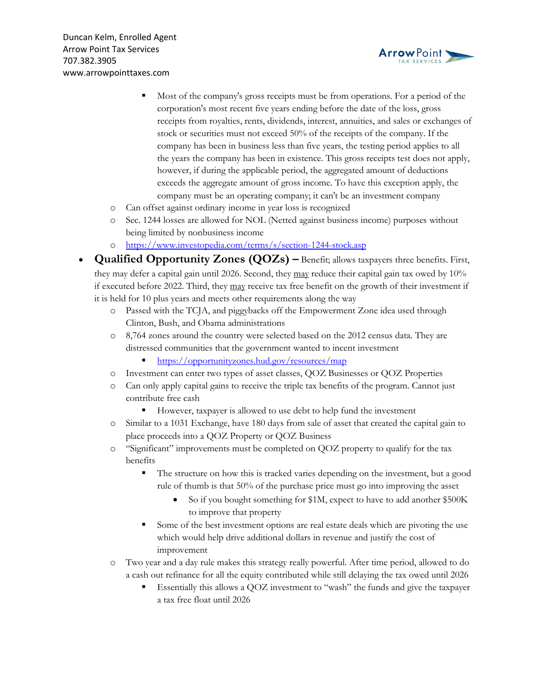



- Most of the company's gross receipts must be from operations. For a period of the corporation's most recent five years ending before the date of the loss, gross receipts from royalties, rents, dividends, interest, annuities, and sales or exchanges of stock or securities must not exceed 50% of the receipts of the company. If the company has been in business less than five years, the testing period applies to all the years the company has been in existence. This gross receipts test does not apply, however, if during the applicable period, the aggregated amount of deductions exceeds the aggregate amount of gross income. To have this exception apply, the company must be an operating company; it can't be an investment company
- o Can offset against ordinary income in year loss is recognized
- o Sec. 1244 losses are allowed for NOL (Netted against business income) purposes without being limited by nonbusiness income
- o <https://www.investopedia.com/terms/s/section-1244-stock.asp>
- **Qualified Opportunity Zones (QOZs) –** Benefit; allows taxpayers three benefits. First, they may defer a capital gain until 2026. Second, they may reduce their capital gain tax owed by 10% if executed before 2022. Third, they may receive tax free benefit on the growth of their investment if it is held for 10 plus years and meets other requirements along the way
	- o Passed with the TCJA, and piggybacks off the Empowerment Zone idea used through Clinton, Bush, and Obama administrations
	- o 8,764 zones around the country were selected based on the 2012 census data. They are distressed communities that the government wanted to incent investment
		- <https://opportunityzones.hud.gov/resources/map>
	- o Investment can enter two types of asset classes, QOZ Businesses or QOZ Properties
	- o Can only apply capital gains to receive the triple tax benefits of the program. Cannot just contribute free cash
		- However, taxpayer is allowed to use debt to help fund the investment
	- o Similar to a 1031 Exchange, have 180 days from sale of asset that created the capital gain to place proceeds into a QOZ Property or QOZ Business
	- o "Significant" improvements must be completed on QOZ property to qualify for the tax benefits
		- The structure on how this is tracked varies depending on the investment, but a good rule of thumb is that 50% of the purchase price must go into improving the asset
			- So if you bought something for \$1M, expect to have to add another \$500K to improve that property
		- Some of the best investment options are real estate deals which are pivoting the use which would help drive additional dollars in revenue and justify the cost of improvement
	- o Two year and a day rule makes this strategy really powerful. After time period, allowed to do a cash out refinance for all the equity contributed while still delaying the tax owed until 2026
		- Essentially this allows a QOZ investment to "wash" the funds and give the taxpayer a tax free float until 2026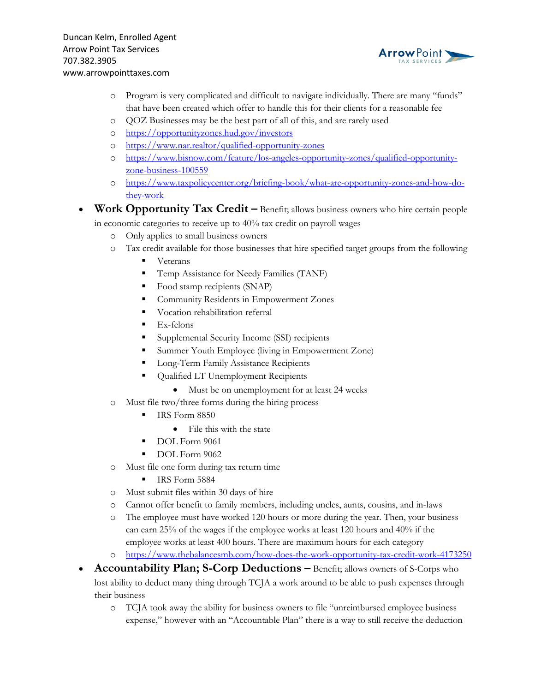

- o Program is very complicated and difficult to navigate individually. There are many "funds" that have been created which offer to handle this for their clients for a reasonable fee
- o QOZ Businesses may be the best part of all of this, and are rarely used
- o <https://opportunityzones.hud.gov/investors>
- o <https://www.nar.realtor/qualified-opportunity-zones>
- o [https://www.bisnow.com/feature/los-angeles-opportunity-zones/qualified-opportunity](https://www.bisnow.com/feature/los-angeles-opportunity-zones/qualified-opportunity-zone-business-100559)[zone-business-100559](https://www.bisnow.com/feature/los-angeles-opportunity-zones/qualified-opportunity-zone-business-100559)
- o [https://www.taxpolicycenter.org/briefing-book/what-are-opportunity-zones-and-how-do](https://www.taxpolicycenter.org/briefing-book/what-are-opportunity-zones-and-how-do-they-work)[they-work](https://www.taxpolicycenter.org/briefing-book/what-are-opportunity-zones-and-how-do-they-work)
- **Work Opportunity Tax Credit –** Benefit; allows business owners who hire certain people in economic categories to receive up to 40% tax credit on payroll wages
	- o Only applies to small business owners
	- o Tax credit available for those businesses that hire specified target groups from the following
		- Veterans
		- **•** Temp Assistance for Needy Families (TANF)
		- Food stamp recipients (SNAP)
		- Community Residents in Empowerment Zones
		- Vocation rehabilitation referral
		- $\blacksquare$  Ex-felons
		- Supplemental Security Income (SSI) recipients
		- **EXECUTE:** Summer Youth Employee (living in Empowerment Zone)
		- **Long-Term Family Assistance Recipients**
		- Qualified LT Unemployment Recipients
			- Must be on unemployment for at least 24 weeks
	- o Must file two/three forms during the hiring process
		- IRS Form 8850
			- File this with the state
		- DOL Form 9061
		- DOL Form 9062
	- o Must file one form during tax return time
		- **E** IRS Form 5884
	- o Must submit files within 30 days of hire
	- o Cannot offer benefit to family members, including uncles, aunts, cousins, and in-laws
	- o The employee must have worked 120 hours or more during the year. Then, your business can earn 25% of the wages if the employee works at least 120 hours and 40% if the employee works at least 400 hours. There are maximum hours for each category
	- o <https://www.thebalancesmb.com/how-does-the-work-opportunity-tax-credit-work-4173250>
- **Accountability Plan; S-Corp Deductions** Benefit; allows owners of S-Corps who lost ability to deduct many thing through TCJA a work around to be able to push expenses through their business
	- o TCJA took away the ability for business owners to file "unreimbursed employee business expense," however with an "Accountable Plan" there is a way to still receive the deduction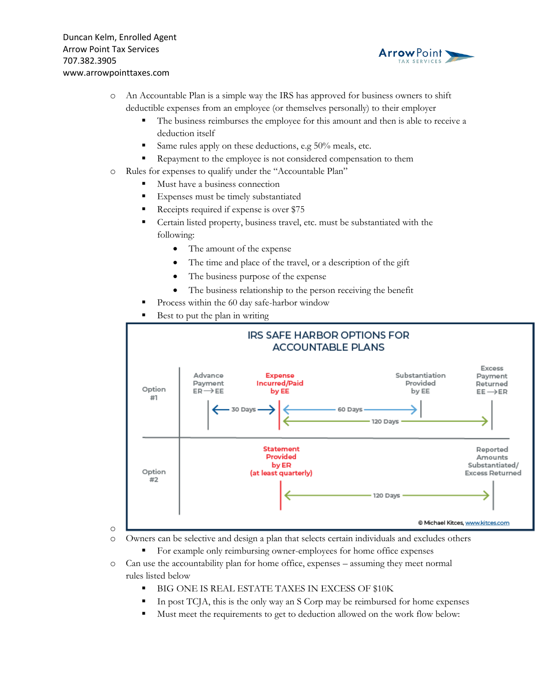

- o An Accountable Plan is a simple way the IRS has approved for business owners to shift deductible expenses from an employee (or themselves personally) to their employer
	- The business reimburses the employee for this amount and then is able to receive a deduction itself
	- Same rules apply on these deductions, e.g 50% meals, etc.
	- **•** Repayment to the employee is not considered compensation to them
- o Rules for expenses to qualify under the "Accountable Plan"
	- Must have a business connection
	- Expenses must be timely substantiated
	- Receipts required if expense is over \$75
	- Certain listed property, business travel, etc. must be substantiated with the following:
		- The amount of the expense
		- The time and place of the travel, or a description of the gift
		- The business purpose of the expense
		- The business relationship to the person receiving the benefit
	- Process within the 60 day safe-harbor window
	- Best to put the plan in writing



- o Owners can be selective and design a plan that selects certain individuals and excludes others
	- For example only reimbursing owner-employees for home office expenses
- o Can use the accountability plan for home office, expenses assuming they meet normal rules listed below
	- **E** BIG ONE IS REAL ESTATE TAXES IN EXCESS OF \$10K
	- In post TCJA, this is the only way an S Corp may be reimbursed for home expenses
	- Must meet the requirements to get to deduction allowed on the work flow below: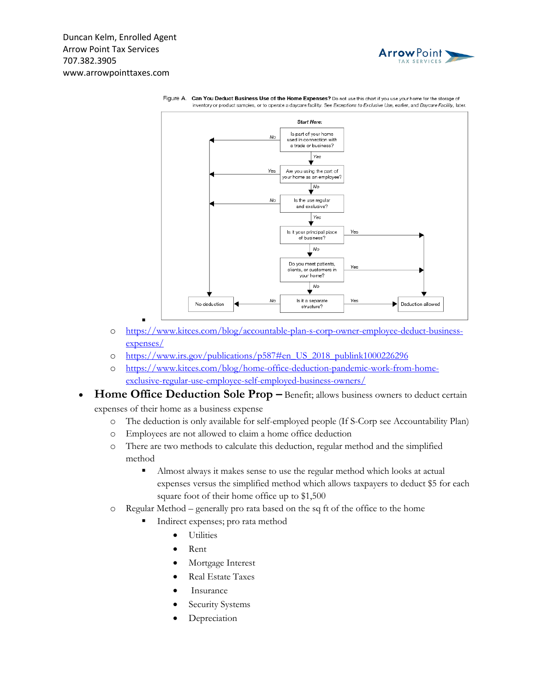



Figure A. Can You Deduct Business Use of the Home Expenses? Do not use this chart if you use your home for the storage of inventory or product samples, or to operate a daycare facility. See Exceptions to Exclusive Use, earlier, and Daycare Facility, later,

- o [https://www.kitces.com/blog/accountable-plan-s-corp-owner-employee-deduct-business](https://www.kitces.com/blog/accountable-plan-s-corp-owner-employee-deduct-business-expenses/)[expenses/](https://www.kitces.com/blog/accountable-plan-s-corp-owner-employee-deduct-business-expenses/)
- o [https://www.irs.gov/publications/p587#en\\_US\\_2018\\_publink1000226296](https://www.irs.gov/publications/p587#en_US_2018_publink1000226296)
- o [https://www.kitces.com/blog/home-office-deduction-pandemic-work-from-home](https://www.kitces.com/blog/home-office-deduction-pandemic-work-from-home-exclusive-regular-use-employee-self-employed-business-owners/)[exclusive-regular-use-employee-self-employed-business-owners/](https://www.kitces.com/blog/home-office-deduction-pandemic-work-from-home-exclusive-regular-use-employee-self-employed-business-owners/)
- **Home Office Deduction Sole Prop –** Benefit; allows business owners to deduct certain expenses of their home as a business expense
	- o The deduction is only available for self-employed people (If S-Corp see Accountability Plan)
	- o Employees are not allowed to claim a home office deduction
	- o There are two methods to calculate this deduction, regular method and the simplified method
		- Almost always it makes sense to use the regular method which looks at actual expenses versus the simplified method which allows taxpayers to deduct \$5 for each square foot of their home office up to \$1,500
	- o Regular Method generally pro rata based on the sq ft of the office to the home
		- Indirect expenses; pro rata method
			- **Utilities**
			- Rent
			- Mortgage Interest
			- Real Estate Taxes
			- **Insurance**
			- Security Systems
			- **Depreciation**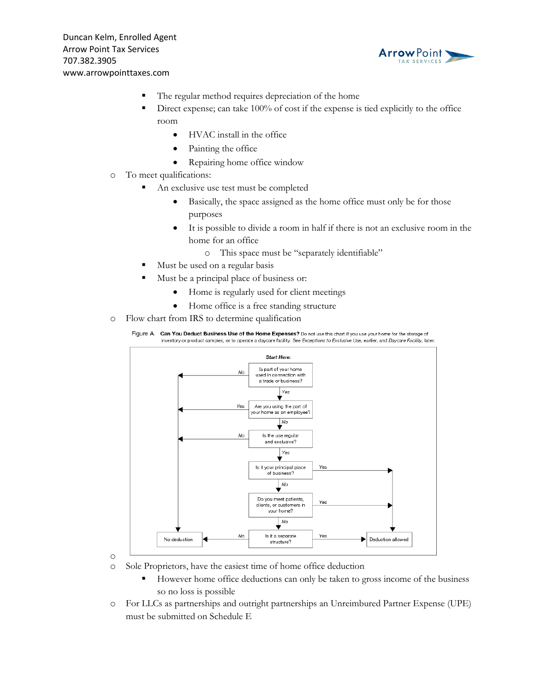

- The regular method requires depreciation of the home
- Direct expense; can take  $100\%$  of cost if the expense is tied explicitly to the office room
	- HVAC install in the office
	- Painting the office
	- Repairing home office window
- o To meet qualifications:
	- An exclusive use test must be completed
		- Basically, the space assigned as the home office must only be for those purposes
		- It is possible to divide a room in half if there is not an exclusive room in the home for an office
			- o This space must be "separately identifiable"
	- Must be used on a regular basis
	- Must be a principal place of business or:
		- Home is regularly used for client meetings
		- Home office is a free standing structure
- o Flow chart from IRS to determine qualification



- o Sole Proprietors, have the easiest time of home office deduction
	- However home office deductions can only be taken to gross income of the business so no loss is possible
- o For LLCs as partnerships and outright partnerships an Unreimbured Partner Expense (UPE) must be submitted on Schedule E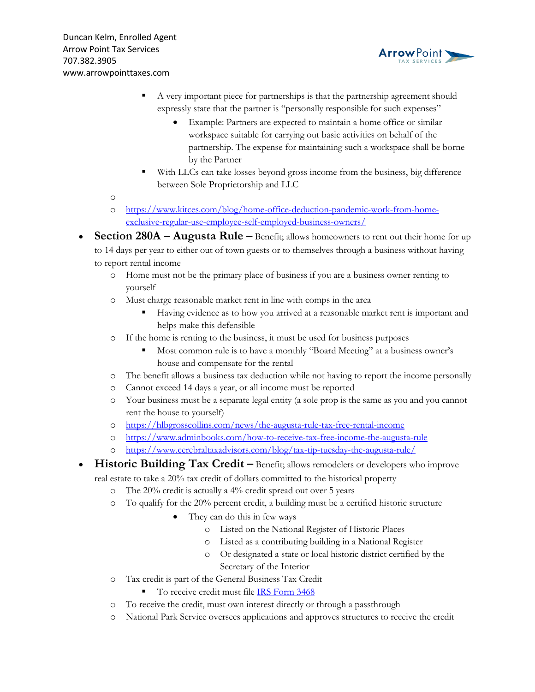

- A very important piece for partnerships is that the partnership agreement should expressly state that the partner is "personally responsible for such expenses"
	- Example: Partners are expected to maintain a home office or similar workspace suitable for carrying out basic activities on behalf of the partnership. The expense for maintaining such a workspace shall be borne by the Partner
- With LLCs can take losses beyond gross income from the business, big difference between Sole Proprietorship and LLC

- o [https://www.kitces.com/blog/home-office-deduction-pandemic-work-from-home](https://www.kitces.com/blog/home-office-deduction-pandemic-work-from-home-exclusive-regular-use-employee-self-employed-business-owners/)[exclusive-regular-use-employee-self-employed-business-owners/](https://www.kitces.com/blog/home-office-deduction-pandemic-work-from-home-exclusive-regular-use-employee-self-employed-business-owners/)
- **Section 280A – Augusta Rule –** Benefit; allows homeowners to rent out their home for up to 14 days per year to either out of town guests or to themselves through a business without having to report rental income
	- o Home must not be the primary place of business if you are a business owner renting to yourself
	- o Must charge reasonable market rent in line with comps in the area
		- Having evidence as to how you arrived at a reasonable market rent is important and helps make this defensible
	- o If the home is renting to the business, it must be used for business purposes
		- Most common rule is to have a monthly "Board Meeting" at a business owner's house and compensate for the rental
	- o The benefit allows a business tax deduction while not having to report the income personally
	- o Cannot exceed 14 days a year, or all income must be reported
	- o Your business must be a separate legal entity (a sole prop is the same as you and you cannot rent the house to yourself)
	- o <https://hlbgrosscollins.com/news/the-augusta-rule-tax-free-rental-income>
	- o <https://www.adminbooks.com/how-to-receive-tax-free-income-the-augusta-rule>
	- o <https://www.cerebraltaxadvisors.com/blog/tax-tip-tuesday-the-augusta-rule/>
- **Historic Building Tax Credit –** Benefit; allows remodelers or developers who improve real estate to take a 20% tax credit of dollars committed to the historical property
	- o The 20% credit is actually a 4% credit spread out over 5 years
	- o To qualify for the 20% percent credit, a building must be a certified historic structure
		- They can do this in few ways
			- o Listed on the National Register of Historic Places
			- o Listed as a contributing building in a National Register
			- o Or designated a state or local historic district certified by the Secretary of the Interior
	- o Tax credit is part of the General Business Tax Credit
		- To receive credit must file **IRS** Form 3468
	- o To receive the credit, must own interest directly or through a passthrough
	- o National Park Service oversees applications and approves structures to receive the credit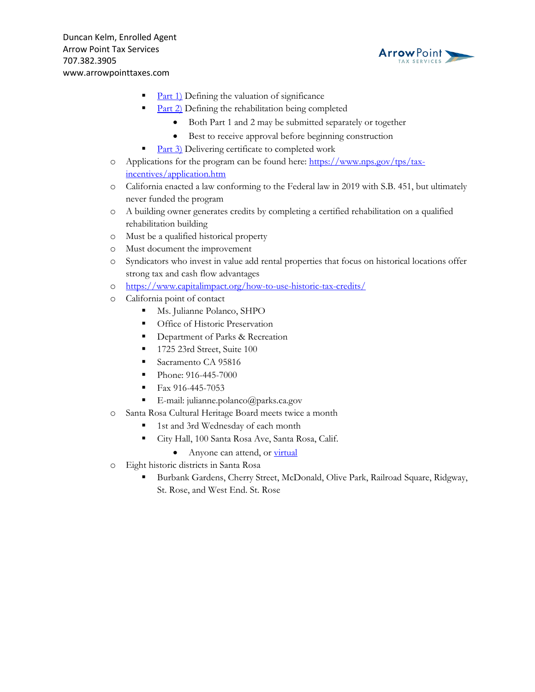

- $Part 1)$  $Part 1)$  Defining the valuation of significance
- $\text{Part 2}$  $\text{Part 2}$  $\text{Part 2}$ ) Defining the rehabilitation being completed
	- Both Part 1 and 2 may be submitted separately or together
	- Best to receive approval before beginning construction
- [Part](https://www.nps.gov/tps/tax-incentives/taxdocs/hpca-part3-2019.pdf) 3) Delivering certificate to completed work
- o Applications for the program can be found here: [https://www.nps.gov/tps/tax](https://www.nps.gov/tps/tax-incentives/application.htm)[incentives/application.htm](https://www.nps.gov/tps/tax-incentives/application.htm)
- o California enacted a law conforming to the Federal law in 2019 with S.B. 451, but ultimately never funded the program
- o A building owner generates credits by completing a certified rehabilitation on a qualified rehabilitation building
- o Must be a qualified historical property
- o Must document the improvement
- o Syndicators who invest in value add rental properties that focus on historical locations offer strong tax and cash flow advantages
- o <https://www.capitalimpact.org/how-to-use-historic-tax-credits/>
- o California point of contact
	- Ms. Julianne Polanco, SHPO
	- **•** Office of Historic Preservation
	- **•** Department of Parks & Recreation
	- 1725 23rd Street, Suite 100
	- Sacramento CA 95816
	- Phone: 916-445-7000
	- Fax 916-445-7053
	- E-mail: julianne.polanco@parks.ca.gov
- o Santa Rosa Cultural Heritage Board meets twice a month
	- 1st and 3rd Wednesday of each month
	- City Hall, 100 Santa Rosa Ave, Santa Rosa, Calif.
		- Anyone can attend, or [virtual](https://santa-rosa.legistar.com/Page.aspx?M=W)
- o Eight historic districts in Santa Rosa
	- Burbank Gardens, Cherry Street, McDonald, Olive Park, Railroad Square, Ridgway, St. Rose, and West End. St. Rose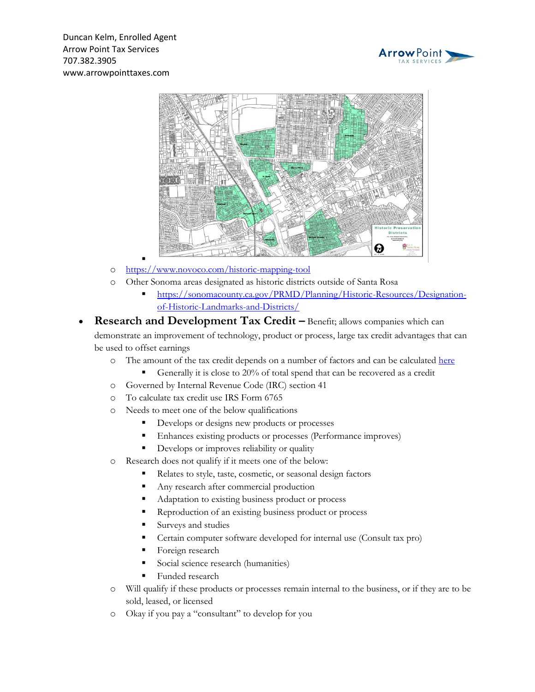



- o <https://www.novoco.com/historic-mapping-tool>
- o Other Sonoma areas designated as historic districts outside of Santa Rosa
	- [https://sonomacounty.ca.gov/PRMD/Planning/Historic-Resources/Designation](https://sonomacounty.ca.gov/PRMD/Planning/Historic-Resources/Designation-of-Historic-Landmarks-and-Districts/)[of-Historic-Landmarks-and-Districts/](https://sonomacounty.ca.gov/PRMD/Planning/Historic-Resources/Designation-of-Historic-Landmarks-and-Districts/)
- **Research and Development Tax Credit –** Benefit; allows companies which can demonstrate an improvement of technology, product or process, large tax credit advantages that can be used to offset earnings
	- o The amount of the tax credit depends on a number of factors and can be calculated [here](https://www.titanarmor.com/complete-form-6765-for-free/)
		- Generally it is close to 20% of total spend that can be recovered as a credit
	- o Governed by Internal Revenue Code (IRC) section 41
	- o To calculate tax credit use IRS Form 6765
	- o Needs to meet one of the below qualifications
		- Develops or designs new products or processes
		- **Enhances existing products or processes (Performance improves)**
		- **•** Develops or improves reliability or quality
	- o Research does not qualify if it meets one of the below:
		- Relates to style, taste, cosmetic, or seasonal design factors
		- Any research after commercial production
		- Adaptation to existing business product or process
		- Reproduction of an existing business product or process
		- Surveys and studies
		- Certain computer software developed for internal use (Consult tax pro)
		- Foreign research
		- Social science research (humanities)
		- Funded research
	- o Will qualify if these products or processes remain internal to the business, or if they are to be sold, leased, or licensed
	- o Okay if you pay a "consultant" to develop for you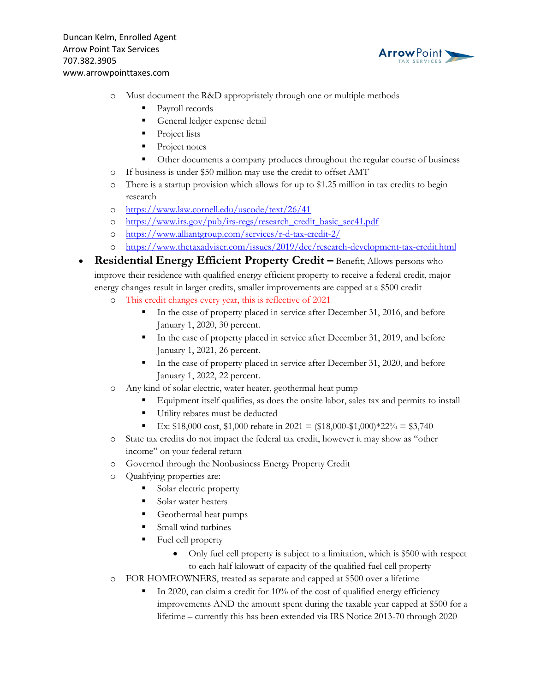

- o Must document the R&D appropriately through one or multiple methods
	- Payroll records
	- **•** General ledger expense detail
	- Project lists
	- Project notes
	- Other documents a company produces throughout the regular course of business
- o If business is under \$50 million may use the credit to offset AMT
- o There is a startup provision which allows for up to \$1.25 million in tax credits to begin research
- o <https://www.law.cornell.edu/uscode/text/26/41>
- o [https://www.irs.gov/pub/irs-regs/research\\_credit\\_basic\\_sec41.pdf](https://www.irs.gov/pub/irs-regs/research_credit_basic_sec41.pdf)
- o <https://www.alliantgroup.com/services/r-d-tax-credit-2/>
- o <https://www.thetaxadviser.com/issues/2019/dec/research-development-tax-credit.html>
- **Residential Energy Efficient Property Credit –** Benefit; Allows persons who improve their residence with qualified energy efficient property to receive a federal credit, major energy changes result in larger credits, smaller improvements are capped at a \$500 credit
	- o This credit changes every year, this is reflective of 2021
		- In the case of property placed in service after December 31, 2016, and before January 1, 2020, 30 percent.
		- In the case of property placed in service after December 31, 2019, and before January 1, 2021, 26 percent.
		- In the case of property placed in service after December 31, 2020, and before January 1, 2022, 22 percent.
	- o Any kind of solar electric, water heater, geothermal heat pump
		- Equipment itself qualifies, as does the onsite labor, sales tax and permits to install
			- Utility rebates must be deducted
			- Ex:  $$18,000 \text{ cost}, $1,000 \text{ rebate in } 2021 = ($18,000 $1,000) * 22\% = $3,740$
	- o State tax credits do not impact the federal tax credit, however it may show as "other income" on your federal return
	- o Governed through the Nonbusiness Energy Property Credit
	- o Qualifying properties are:
		- Solar electric property
		- Solar water heaters
		- Geothermal heat pumps
		- Small wind turbines
		- Fuel cell property
			- Only fuel cell property is subject to a limitation, which is \$500 with respect to each half kilowatt of capacity of the qualified fuel cell property
	- o FOR HOMEOWNERS, treated as separate and capped at \$500 over a lifetime
		- In 2020, can claim a credit for 10% of the cost of qualified energy efficiency improvements AND the amount spent during the taxable year capped at \$500 for a lifetime – currently this has been extended via IRS Notice 2013-70 through 2020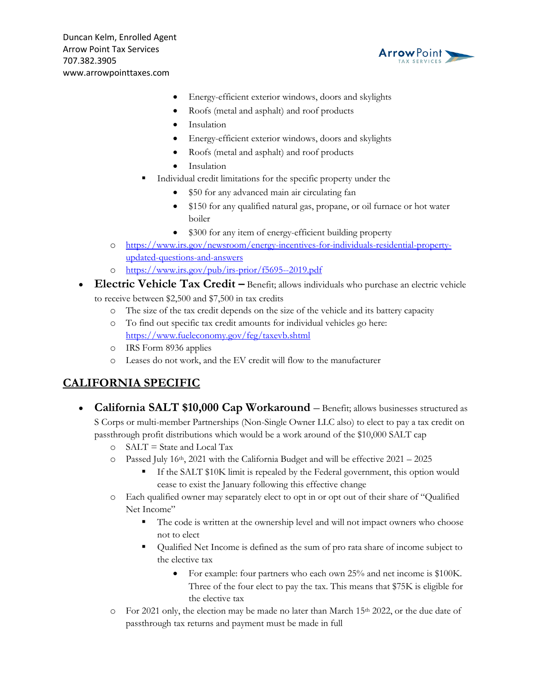

- Energy-efficient exterior windows, doors and skylights
- Roofs (metal and asphalt) and roof products
- **Insulation**
- Energy-efficient exterior windows, doors and skylights
- Roofs (metal and asphalt) and roof products
- **Insulation**
- Individual credit limitations for the specific property under the
	- \$50 for any advanced main air circulating fan
	- \$150 for any qualified natural gas, propane, or oil furnace or hot water boiler
	- \$300 for any item of energy-efficient building property
- o [https://www.irs.gov/newsroom/energy-incentives-for-individuals-residential-property](https://www.irs.gov/newsroom/energy-incentives-for-individuals-residential-property-updated-questions-and-answers)[updated-questions-and-answers](https://www.irs.gov/newsroom/energy-incentives-for-individuals-residential-property-updated-questions-and-answers)
- o <https://www.irs.gov/pub/irs-prior/f5695--2019.pdf>
- **Electric Vehicle Tax Credit –** Benefit; allows individuals who purchase an electric vehicle to receive between \$2,500 and \$7,500 in tax credits
	- o The size of the tax credit depends on the size of the vehicle and its battery capacity
	- o To find out specific tax credit amounts for individual vehicles go here: <https://www.fueleconomy.gov/feg/taxevb.shtml>
	- o IRS Form 8936 applies
	- o Leases do not work, and the EV credit will flow to the manufacturer

## **CALIFORNIA SPECIFIC**

- **California SALT \$10,000 Cap Workaround** Benefit; allows businesses structured as S Corps or multi-member Partnerships (Non-Single Owner LLC also) to elect to pay a tax credit on passthrough profit distributions which would be a work around of the \$10,000 SALT cap
	- o SALT = State and Local Tax
	- $\degree$  Passed July 16<sup>th</sup>, 2021 with the California Budget and will be effective 2021 2025
		- If the SALT \$10K limit is repealed by the Federal government, this option would cease to exist the January following this effective change
	- o Each qualified owner may separately elect to opt in or opt out of their share of "Qualified Net Income"
		- The code is written at the ownership level and will not impact owners who choose not to elect
		- Qualified Net Income is defined as the sum of pro rata share of income subject to the elective tax
			- For example: four partners who each own 25% and net income is \$100K. Three of the four elect to pay the tax. This means that \$75K is eligible for the elective tax
	- $\circ$  For 2021 only, the election may be made no later than March 15<sup>th</sup> 2022, or the due date of passthrough tax returns and payment must be made in full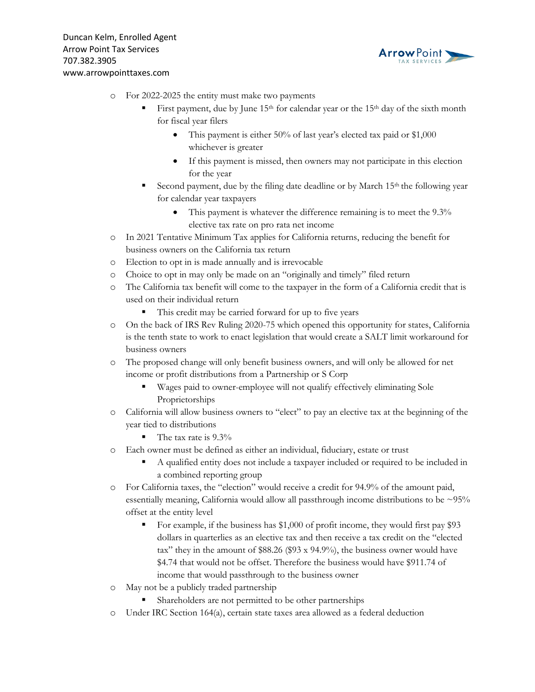

- o For 2022-2025 the entity must make two payments
	- First payment, due by June 15<sup>th</sup> for calendar year or the 15<sup>th</sup> day of the sixth month for fiscal year filers
		- This payment is either 50% of last year's elected tax paid or \$1,000 whichever is greater
		- If this payment is missed, then owners may not participate in this election for the year
	- Second payment, due by the filing date deadline or by March 15<sup>th</sup> the following year for calendar year taxpayers
		- This payment is whatever the difference remaining is to meet the 9.3% elective tax rate on pro rata net income
- o In 2021 Tentative Minimum Tax applies for California returns, reducing the benefit for business owners on the California tax return
- o Election to opt in is made annually and is irrevocable
- o Choice to opt in may only be made on an "originally and timely" filed return
- o The California tax benefit will come to the taxpayer in the form of a California credit that is used on their individual return
	- This credit may be carried forward for up to five years
- o On the back of IRS Rev Ruling 2020-75 which opened this opportunity for states, California is the tenth state to work to enact legislation that would create a SALT limit workaround for business owners
- o The proposed change will only benefit business owners, and will only be allowed for net income or profit distributions from a Partnership or S Corp
	- Wages paid to owner-employee will not qualify effectively eliminating Sole Proprietorships
- o California will allow business owners to "elect" to pay an elective tax at the beginning of the year tied to distributions
	- $\blacksquare$  The tax rate is 9.3%
- o Each owner must be defined as either an individual, fiduciary, estate or trust
	- A qualified entity does not include a taxpayer included or required to be included in a combined reporting group
- o For California taxes, the "election" would receive a credit for 94.9% of the amount paid, essentially meaning, California would allow all passthrough income distributions to be ~95% offset at the entity level
	- For example, if the business has \$1,000 of profit income, they would first pay \$93 dollars in quarterlies as an elective tax and then receive a tax credit on the "elected tax" they in the amount of \$88.26 (\$93 x 94.9%), the business owner would have \$4.74 that would not be offset. Therefore the business would have \$911.74 of income that would passthrough to the business owner
- o May not be a publicly traded partnership
	- **•** Shareholders are not permitted to be other partnerships
- o Under IRC Section 164(a), certain state taxes area allowed as a federal deduction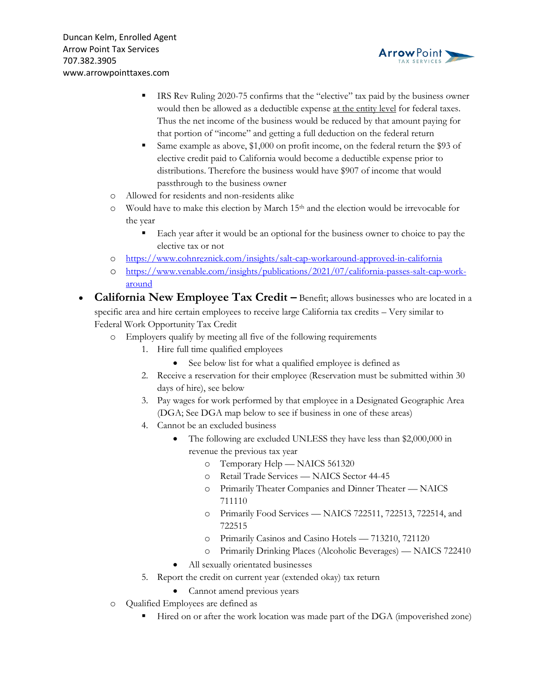

- IRS Rev Ruling 2020-75 confirms that the "elective" tax paid by the business owner would then be allowed as a deductible expense at the entity level for federal taxes. Thus the net income of the business would be reduced by that amount paying for that portion of "income" and getting a full deduction on the federal return
- Same example as above, \$1,000 on profit income, on the federal return the \$93 of elective credit paid to California would become a deductible expense prior to distributions. Therefore the business would have \$907 of income that would passthrough to the business owner
- o Allowed for residents and non-residents alike
- $\circ$  Would have to make this election by March 15<sup>th</sup> and the election would be irrevocable for the year
	- Each year after it would be an optional for the business owner to choice to pay the elective tax or not
- o <https://www.cohnreznick.com/insights/salt-cap-workaround-approved-in-california>
- o [https://www.venable.com/insights/publications/2021/07/california-passes-salt-cap-work](https://www.venable.com/insights/publications/2021/07/california-passes-salt-cap-work-around)[around](https://www.venable.com/insights/publications/2021/07/california-passes-salt-cap-work-around)
- **California New Employee Tax Credit –** Benefit; allows businesses who are located in a specific area and hire certain employees to receive large California tax credits – Very similar to Federal Work Opportunity Tax Credit
	- o Employers qualify by meeting all five of the following requirements
		- 1. Hire full time qualified employees
			- See below list for what a qualified employee is defined as
		- 2. Receive a reservation for their employee (Reservation must be submitted within 30 days of hire), see below
		- 3. Pay wages for work performed by that employee in a Designated Geographic Area (DGA; See DGA map below to see if business in one of these areas)
		- 4. Cannot be an excluded business
			- The following are excluded UNLESS they have less than \$2,000,000 in revenue the previous tax year
				- o Temporary Help NAICS 561320
				- o Retail Trade Services NAICS Sector 44-45
				- o Primarily Theater Companies and Dinner Theater NAICS 711110
				- o Primarily Food Services NAICS 722511, 722513, 722514, and 722515
				- o Primarily Casinos and Casino Hotels 713210, 721120
				- o Primarily Drinking Places (Alcoholic Beverages) NAICS 722410
			- All sexually orientated businesses
		- 5. Report the credit on current year (extended okay) tax return
			- Cannot amend previous years
	- o Qualified Employees are defined as
		- Hired on or after the work location was made part of the DGA (impoverished zone)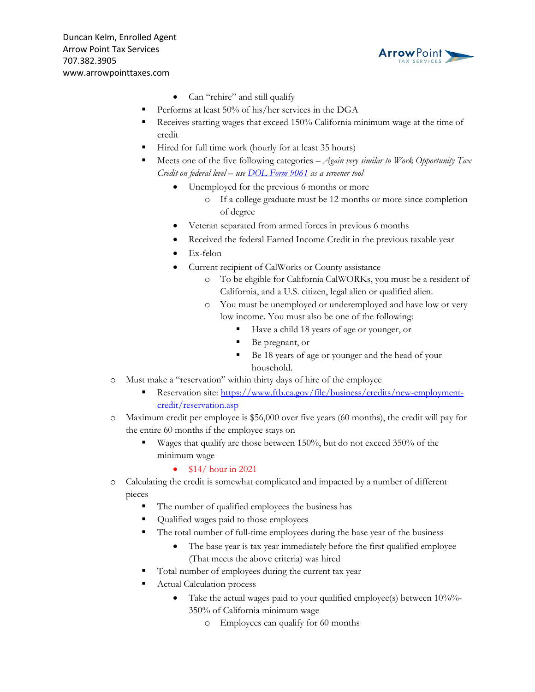

- Can "rehire" and still qualify
- Performs at least 50% of his/her services in the DGA
- Receives starting wages that exceed 150% California minimum wage at the time of credit
- Hired for full time work (hourly for at least 35 hours)
- Meets one of the five following categories *Again very similar to Work Opportunity Tax Credit on federal level – use [DOL Form 9061](https://www.dol.gov/sites/dolgov/files/ETA/wotc/pdfs/ETA-FORM-9061-(ENGLISH).pdf) as a screener tool*
	- Unemployed for the previous 6 months or more
		- o If a college graduate must be 12 months or more since completion of degree
	- Veteran separated from armed forces in previous 6 months
	- Received the federal Earned Income Credit in the previous taxable year
	- Ex-felon
	- Current recipient of CalWorks or County assistance
		- o To be eligible for California CalWORKs, you must be a resident of California, and a U.S. citizen, legal alien or qualified alien.
		- o You must be unemployed or underemployed and have low or very low income. You must also be one of the following:
			- Have a child 18 years of age or younger, or
			- Be pregnant, or
			- Be 18 years of age or younger and the head of your household.
- o Must make a "reservation" within thirty days of hire of the employee
	- **EXECUTE:** Reservation site: [https://www.ftb.ca.gov/file/business/credits/new-employment](https://www.ftb.ca.gov/file/business/credits/new-employment-credit/reservation.asp)[credit/reservation.asp](https://www.ftb.ca.gov/file/business/credits/new-employment-credit/reservation.asp)
- o Maximum credit per employee is \$56,000 over five years (60 months), the credit will pay for the entire 60 months if the employee stays on
	- Wages that qualify are those between 150%, but do not exceed 350% of the minimum wage
		- $$14/ hour in 2021$
- o Calculating the credit is somewhat complicated and impacted by a number of different pieces
	- The number of qualified employees the business has
	- Qualified wages paid to those employees
	- The total number of full-time employees during the base year of the business
		- The base year is tax year immediately before the first qualified employee (That meets the above criteria) was hired
	- Total number of employees during the current tax year
	- Actual Calculation process
		- Take the actual wages paid to your qualified employee(s) between 10%%-350% of California minimum wage
			- o Employees can qualify for 60 months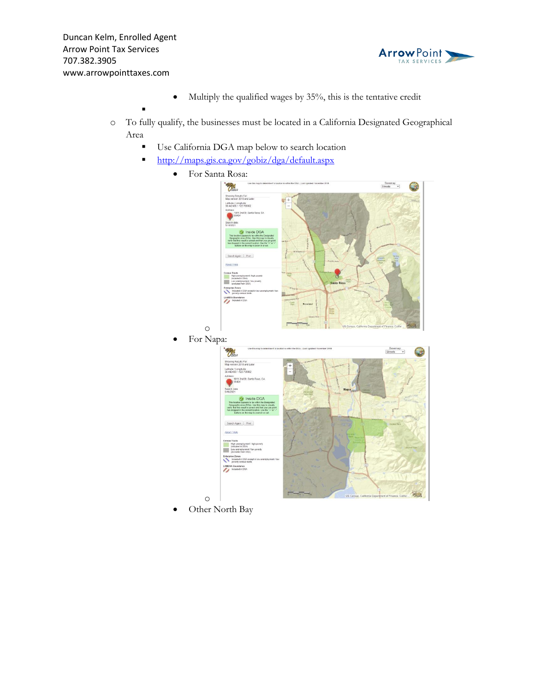▪



- Multiply the qualified wages by 35%, this is the tentative credit
- o To fully qualify, the businesses must be located in a California Designated Geographical Area
	- Use California DGA map below to search location
	- **<http://maps.gis.ca.gov/gobiz/dga/default.aspx>** 
		- For Santa Rosa:



Other North Bay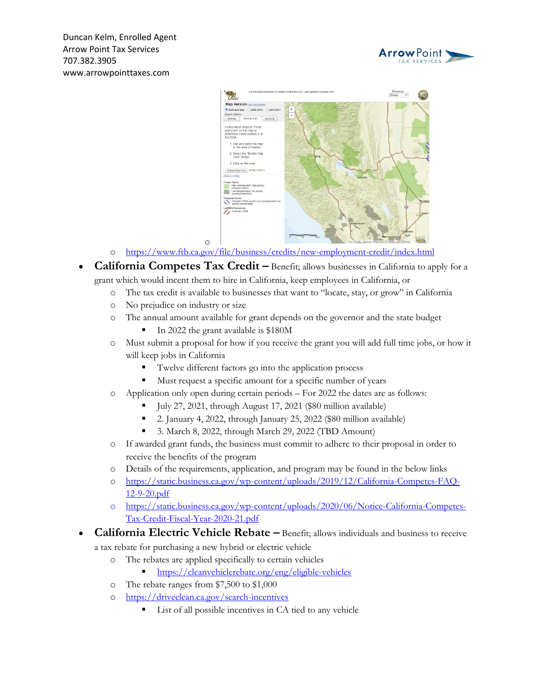



- o <https://www.ftb.ca.gov/file/business/credits/new-employment-credit/index.html>
- **California Competes Tax Credit –** Benefit; allows businesses in California to apply for a grant which would incent them to hire in California, keep employees in California, or
	- o The tax credit is available to businesses that want to "locate, stay, or grow" in California
	- o No prejudice on industry or size
	- o The annual amount available for grant depends on the governor and the state budget
		- In 2022 the grant available is \$180M

- o Must submit a proposal for how if you receive the grant you will add full time jobs, or how it will keep jobs in California
	- Twelve different factors go into the application process
	- Must request a specific amount for a specific number of years
- o Application only open during certain periods For 2022 the dates are as follows:
	- July 27, 2021, through August 17, 2021 (\$80 million available)
	- 2. January 4, 2022, through January 25, 2022 (\$80 million available)
	- 3. March 8, 2022, through March 29, 2022 (TBD Amount)
- o If awarded grant funds, the business must commit to adhere to their proposal in order to receive the benefits of the program
- o Details of the requirements, application, and program may be found in the below links
- o [https://static.business.ca.gov/wp-content/uploads/2019/12/California-Competes-FAQ-](https://static.business.ca.gov/wp-content/uploads/2019/12/California-Competes-FAQ-12-9-20.pdf)[12-9-20.pdf](https://static.business.ca.gov/wp-content/uploads/2019/12/California-Competes-FAQ-12-9-20.pdf)
- o [https://static.business.ca.gov/wp-content/uploads/2020/06/Notice-California-Competes-](https://static.business.ca.gov/wp-content/uploads/2020/06/Notice-California-Competes-Tax-Credit-Fiscal-Year-2020-21.pdf)[Tax-Credit-Fiscal-Year-2020-21.pdf](https://static.business.ca.gov/wp-content/uploads/2020/06/Notice-California-Competes-Tax-Credit-Fiscal-Year-2020-21.pdf)
- **California Electric Vehicle Rebate –** Benefit; allows individuals and business to receive a tax rebate for purchasing a new hybrid or electric vehicle
	- - o The rebates are applied specifically to certain vehicles
			- <https://cleanvehiclerebate.org/eng/eligible-vehicles>
		- o The rebate ranges from \$7,500 to \$1,000
		- o <https://driveclean.ca.gov/search-incentives>
			- List of all possible incentives in CA tied to any vehicle